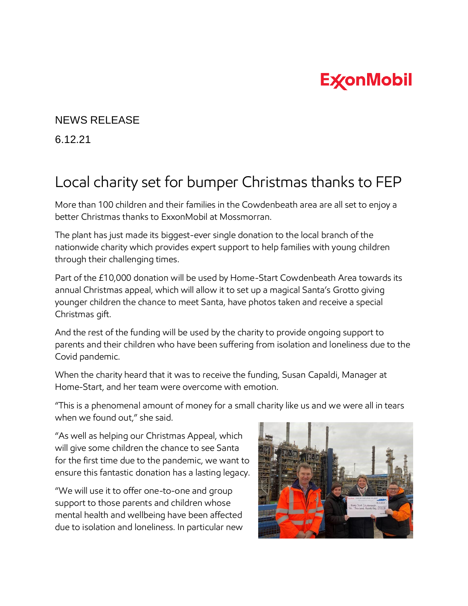## **ExconMobil**

## NEWS RELEASE

6.12.21

## Local charity set for bumper Christmas thanks to FEP

More than 100 children and their families in the Cowdenbeath area are all set to enjoy a better Christmas thanks to ExxonMobil at Mossmorran.

The plant has just made its biggest-ever single donation to the local branch of the nationwide charity which provides expert support to help families with young children through their challenging times.

Part of the £10,000 donation will be used by Home-Start Cowdenbeath Area towards its annual Christmas appeal, which will allow it to set up a magical Santa's Grotto giving younger children the chance to meet Santa, have photos taken and receive a special Christmas gift.

And the rest of the funding will be used by the charity to provide ongoing support to parents and their children who have been suffering from isolation and loneliness due to the Covid pandemic.

When the charity heard that it was to receive the funding, Susan Capaldi, Manager at Home-Start, and her team were overcome with emotion.

"This is a phenomenal amount of money for a small charity like us and we were all in tears when we found out," she said.

"As well as helping our Christmas Appeal, which will give some children the chance to see Santa for the first time due to the pandemic, we want to ensure this fantastic donation has a lasting legacy.

"We will use it to offer one-to-one and group support to those parents and children whose mental health and wellbeing have been affected due to isolation and loneliness. In particular new